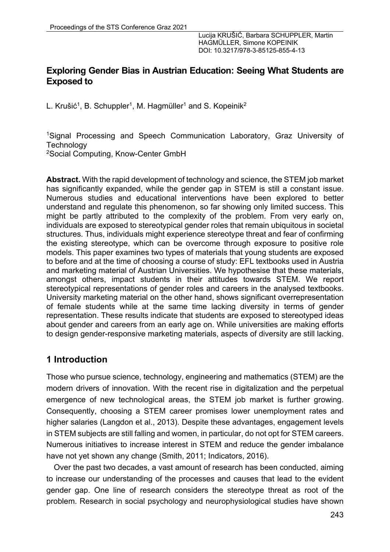# **Exploring Gender Bias in Austrian Education: Seeing What Students are Exposed to**

L. Krušić<sup>1</sup>, B. Schuppler<sup>1</sup>, M. Hagmüller<sup>1</sup> and S. Kopeinik<sup>2</sup>

1Signal Processing and Speech Communication Laboratory, Graz University of **Technology** 2Social Computing, Know-Center GmbH

**Abstract.** With the rapid development of technology and science, the STEM job market has significantly expanded, while the gender gap in STEM is still a constant issue. Numerous studies and educational interventions have been explored to better understand and regulate this phenomenon, so far showing only limited success. This might be partly attributed to the complexity of the problem. From very early on, individuals are exposed to stereotypical gender roles that remain ubiquitous in societal structures. Thus, individuals might experience stereotype threat and fear of confirming the existing stereotype, which can be overcome through exposure to positive role models. This paper examines two types of materials that young students are exposed to before and at the time of choosing a course of study: EFL textbooks used in Austria and marketing material of Austrian Universities. We hypothesise that these materials, amongst others, impact students in their attitudes towards STEM. We report stereotypical representations of gender roles and careers in the analysed textbooks. University marketing material on the other hand, shows significant overrepresentation of female students while at the same time lacking diversity in terms of gender representation. These results indicate that students are exposed to stereotyped ideas about gender and careers from an early age on. While universities are making efforts to design gender-responsive marketing materials, aspects of diversity are still lacking.

# **1 Introduction**

Those who pursue science, technology, engineering and mathematics (STEM) are the modern drivers of innovation. With the recent rise in digitalization and the perpetual emergence of new technological areas, the STEM job market is further growing. Consequently, choosing a STEM career promises lower unemployment rates and higher salaries (Langdon et al., 2013). Despite these advantages, engagement levels in STEM subjects are still falling and women, in particular, do not opt for STEM careers. Numerous initiatives to increase interest in STEM and reduce the gender imbalance have not yet shown any change (Smith, 2011; Indicators, 2016).

Over the past two decades, a vast amount of research has been conducted, aiming to increase our understanding of the processes and causes that lead to the evident gender gap. One line of research considers the stereotype threat as root of the problem. Research in social psychology and neurophysiological studies have shown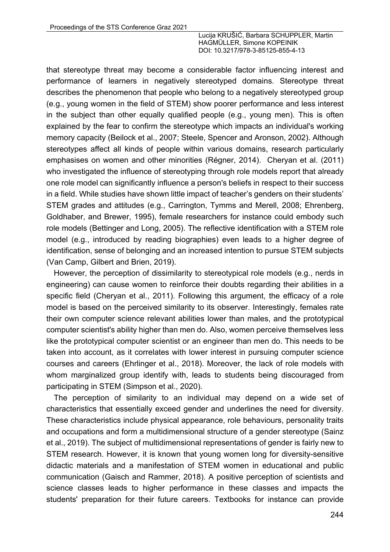that stereotype threat may become a considerable factor influencing interest and performance of learners in negatively stereotyped domains. Stereotype threat describes the phenomenon that people who belong to a negatively stereotyped group (e.g., young women in the field of STEM) show poorer performance and less interest in the subject than other equally qualified people (e.g., young men). This is often explained by the fear to confirm the stereotype which impacts an individual's working memory capacity (Beilock et al., 2007; Steele, Spencer and Aronson, 2002). Although stereotypes affect all kinds of people within various domains, research particularly emphasises on women and other minorities (Régner, 2014). Cheryan et al. (2011) who investigated the influence of stereotyping through role models report that already one role model can significantly influence a person's beliefs in respect to their success in a field. While studies have shown little impact of teacher's genders on their students' STEM grades and attitudes (e.g., Carrington, Tymms and Merell, 2008; Ehrenberg, Goldhaber, and Brewer, 1995), female researchers for instance could embody such role models (Bettinger and Long, 2005). The reflective identification with a STEM role model (e.g., introduced by reading biographies) even leads to a higher degree of identification, sense of belonging and an increased intention to pursue STEM subjects (Van Camp, Gilbert and Brien, 2019).

However, the perception of dissimilarity to stereotypical role models (e.g., nerds in engineering) can cause women to reinforce their doubts regarding their abilities in a specific field (Cheryan et al., 2011). Following this argument, the efficacy of a role model is based on the perceived similarity to its observer. Interestingly, females rate their own computer science relevant abilities lower than males, and the prototypical computer scientist's ability higher than men do. Also, women perceive themselves less like the prototypical computer scientist or an engineer than men do. This needs to be taken into account, as it correlates with lower interest in pursuing computer science courses and careers (Ehrlinger et al., 2018). Moreover, the lack of role models with whom marginalized group identify with, leads to students being discouraged from participating in STEM (Simpson et al., 2020).

The perception of similarity to an individual may depend on a wide set of characteristics that essentially exceed gender and underlines the need for diversity. These characteristics include physical appearance, role behaviours, personality traits and occupations and form a multidimensional structure of a gender stereotype (Sainz et al., 2019). The subject of multidimensional representations of gender is fairly new to STEM research. However, it is known that young women long for diversity-sensitive didactic materials and a manifestation of STEM women in educational and public communication (Gaisch and Rammer, 2018). A positive perception of scientists and science classes leads to higher performance in these classes and impacts the students' preparation for their future careers. Textbooks for instance can provide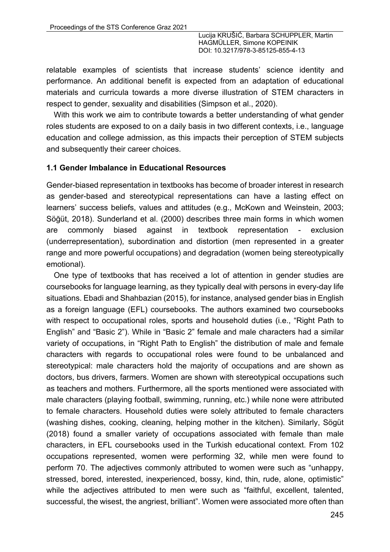relatable examples of scientists that increase students' science identity and performance. An additional benefit is expected from an adaptation of educational materials and curricula towards a more diverse illustration of STEM characters in respect to gender, sexuality and disabilities (Simpson et al., 2020).

With this work we aim to contribute towards a better understanding of what gender roles students are exposed to on a daily basis in two different contexts, i.e., language education and college admission, as this impacts their perception of STEM subjects and subsequently their career choices.

#### **1.1 Gender Imbalance in Educational Resources**

Gender-biased representation in textbooks has become of broader interest in research as gender-based and stereotypical representations can have a lasting effect on learners' success beliefs, values and attitudes (e.g., McKown and Weinstein, 2003; Söğüt, 2018). Sunderland et al. (2000) describes three main forms in which women are commonly biased against in textbook representation - exclusion (underrepresentation), subordination and distortion (men represented in a greater range and more powerful occupations) and degradation (women being stereotypically emotional).

One type of textbooks that has received a lot of attention in gender studies are coursebooks for language learning, as they typically deal with persons in every-day life situations. Ebadi and Shahbazian (2015), for instance, analysed gender bias in English as a foreign language (EFL) coursebooks. The authors examined two coursebooks with respect to occupational roles, sports and household duties (i.e., "Right Path to English" and "Basic 2"). While in "Basic 2" female and male characters had a similar variety of occupations, in "Right Path to English" the distribution of male and female characters with regards to occupational roles were found to be unbalanced and stereotypical: male characters hold the majority of occupations and are shown as doctors, bus drivers, farmers. Women are shown with stereotypical occupations such as teachers and mothers. Furthermore, all the sports mentioned were associated with male characters (playing football, swimming, running, etc.) while none were attributed to female characters. Household duties were solely attributed to female characters (washing dishes, cooking, cleaning, helping mother in the kitchen). Similarly, Sögüt (2018) found a smaller variety of occupations associated with female than male characters, in EFL coursebooks used in the Turkish educational context. From 102 occupations represented, women were performing 32, while men were found to perform 70. The adjectives commonly attributed to women were such as "unhappy, stressed, bored, interested, inexperienced, bossy, kind, thin, rude, alone, optimistic" while the adjectives attributed to men were such as "faithful, excellent, talented, successful, the wisest, the angriest, brilliant". Women were associated more often than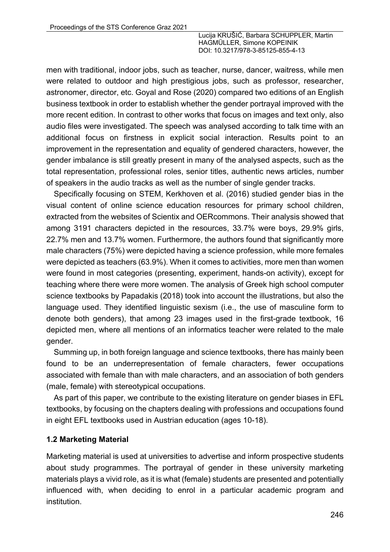men with traditional, indoor jobs, such as teacher, nurse, dancer, waitress, while men were related to outdoor and high prestigious jobs, such as professor, researcher, astronomer, director, etc. Goyal and Rose (2020) compared two editions of an English business textbook in order to establish whether the gender portrayal improved with the more recent edition. In contrast to other works that focus on images and text only, also audio files were investigated. The speech was analysed according to talk time with an additional focus on firstness in explicit social interaction. Results point to an improvement in the representation and equality of gendered characters, however, the gender imbalance is still greatly present in many of the analysed aspects, such as the total representation, professional roles, senior titles, authentic news articles, number of speakers in the audio tracks as well as the number of single gender tracks.

Specifically focusing on STEM, Kerkhoven et al. (2016) studied gender bias in the visual content of online science education resources for primary school children, extracted from the websites of Scientix and OERcommons. Their analysis showed that among 3191 characters depicted in the resources, 33.7% were boys, 29.9% girls, 22.7% men and 13.7% women. Furthermore, the authors found that significantly more male characters (75%) were depicted having a science profession, while more females were depicted as teachers (63.9%). When it comes to activities, more men than women were found in most categories (presenting, experiment, hands-on activity), except for teaching where there were more women. The analysis of Greek high school computer science textbooks by Papadakis (2018) took into account the illustrations, but also the language used. They identified linguistic sexism (i.e., the use of masculine form to denote both genders), that among 23 images used in the first-grade textbook, 16 depicted men, where all mentions of an informatics teacher were related to the male gender.

Summing up, in both foreign language and science textbooks, there has mainly been found to be an underrepresentation of female characters, fewer occupations associated with female than with male characters, and an association of both genders (male, female) with stereotypical occupations.

As part of this paper, we contribute to the existing literature on gender biases in EFL textbooks, by focusing on the chapters dealing with professions and occupations found in eight EFL textbooks used in Austrian education (ages 10-18).

### **1.2 Marketing Material**

Marketing material is used at universities to advertise and inform prospective students about study programmes. The portrayal of gender in these university marketing materials plays a vivid role, as it is what (female) students are presented and potentially influenced with, when deciding to enrol in a particular academic program and institution.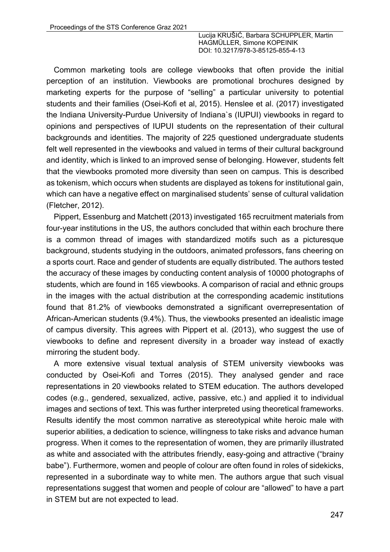Common marketing tools are college viewbooks that often provide the initial perception of an institution. Viewbooks are promotional brochures designed by marketing experts for the purpose of "selling" a particular university to potential students and their families (Osei-Kofi et al, 2015). Henslee et al. (2017) investigated the Indiana University-Purdue University of Indiana`s (IUPUI) viewbooks in regard to opinions and perspectives of IUPUI students on the representation of their cultural backgrounds and identities. The majority of 225 questioned undergraduate students felt well represented in the viewbooks and valued in terms of their cultural background and identity, which is linked to an improved sense of belonging. However, students felt that the viewbooks promoted more diversity than seen on campus. This is described as tokenism, which occurs when students are displayed as tokens for institutional gain, which can have a negative effect on marginalised students' sense of cultural validation (Fletcher, 2012).

Pippert, Essenburg and Matchett (2013) investigated 165 recruitment materials from four-year institutions in the US, the authors concluded that within each brochure there is a common thread of images with standardized motifs such as a picturesque background, students studying in the outdoors, animated professors, fans cheering on a sports court. Race and gender of students are equally distributed. The authors tested the accuracy of these images by conducting content analysis of 10000 photographs of students, which are found in 165 viewbooks. A comparison of racial and ethnic groups in the images with the actual distribution at the corresponding academic institutions found that 81.2% of viewbooks demonstrated a significant overrepresentation of African-American students (9.4%). Thus, the viewbooks presented an idealistic image of campus diversity. This agrees with Pippert et al. (2013), who suggest the use of viewbooks to define and represent diversity in a broader way instead of exactly mirroring the student body.

A more extensive visual textual analysis of STEM university viewbooks was conducted by Osei-Kofi and Torres (2015). They analysed gender and race representations in 20 viewbooks related to STEM education. The authors developed codes (e.g., gendered, sexualized, active, passive, etc.) and applied it to individual images and sections of text. This was further interpreted using theoretical frameworks. Results identify the most common narrative as stereotypical white heroic male with superior abilities, a dedication to science, willingness to take risks and advance human progress. When it comes to the representation of women, they are primarily illustrated as white and associated with the attributes friendly, easy-going and attractive ("brainy babe"). Furthermore, women and people of colour are often found in roles of sidekicks, represented in a subordinate way to white men. The authors argue that such visual representations suggest that women and people of colour are "allowed" to have a part in STEM but are not expected to lead.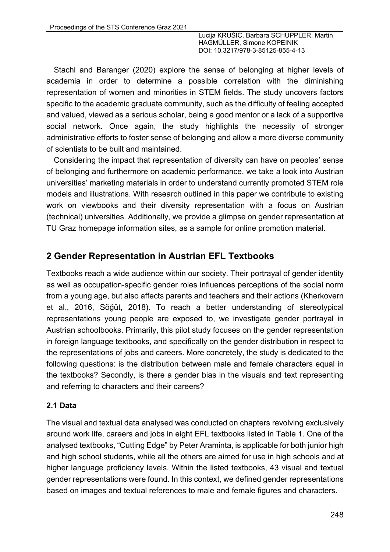Stachl and Baranger (2020) explore the sense of belonging at higher levels of academia in order to determine a possible correlation with the diminishing representation of women and minorities in STEM fields. The study uncovers factors specific to the academic graduate community, such as the difficulty of feeling accepted and valued, viewed as a serious scholar, being a good mentor or a lack of a supportive social network. Once again, the study highlights the necessity of stronger administrative efforts to foster sense of belonging and allow a more diverse community of scientists to be built and maintained.

Considering the impact that representation of diversity can have on peoples' sense of belonging and furthermore on academic performance, we take a look into Austrian universities' marketing materials in order to understand currently promoted STEM role models and illustrations. With research outlined in this paper we contribute to existing work on viewbooks and their diversity representation with a focus on Austrian (technical) universities. Additionally, we provide a glimpse on gender representation at TU Graz homepage information sites, as a sample for online promotion material.

# **2 Gender Representation in Austrian EFL Textbooks**

Textbooks reach a wide audience within our society. Their portrayal of gender identity as well as occupation-specific gender roles influences perceptions of the social norm from a young age, but also affects parents and teachers and their actions (Kherkovern et al., 2016, Söğüt, 2018). To reach a better understanding of stereotypical representations young people are exposed to, we investigate gender portrayal in Austrian schoolbooks. Primarily, this pilot study focuses on the gender representation in foreign language textbooks, and specifically on the gender distribution in respect to the representations of jobs and careers. More concretely, the study is dedicated to the following questions: is the distribution between male and female characters equal in the textbooks? Secondly, is there a gender bias in the visuals and text representing and referring to characters and their careers?

#### **2.1 Data**

The visual and textual data analysed was conducted on chapters revolving exclusively around work life, careers and jobs in eight EFL textbooks listed in Table 1. One of the analysed textbooks, "Cutting Edge" by Peter Araminta, is applicable for both junior high and high school students, while all the others are aimed for use in high schools and at higher language proficiency levels. Within the listed textbooks, 43 visual and textual gender representations were found. In this context, we defined gender representations based on images and textual references to male and female figures and characters.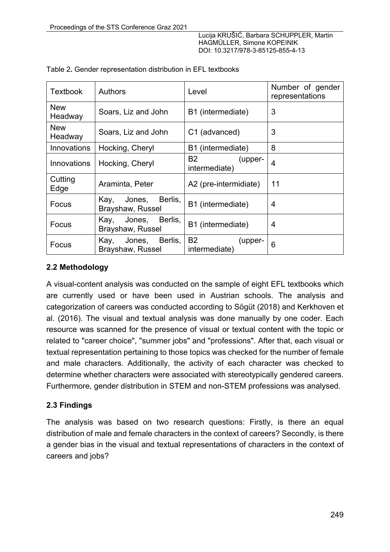| <b>Textbook</b>       | <b>Authors</b>                                | Level                                 | Number of gender<br>representations |  |
|-----------------------|-----------------------------------------------|---------------------------------------|-------------------------------------|--|
| <b>New</b><br>Headway | Soars, Liz and John                           | B1 (intermediate)                     | 3                                   |  |
| <b>New</b><br>Headway | Soars, Liz and John                           | C1 (advanced)                         | 3                                   |  |
| Innovations           | Hocking, Cheryl                               | B1 (intermediate)                     | 8                                   |  |
| Innovations           | Hocking, Cheryl                               | B2<br>(upper-<br>intermediate)        | $\overline{4}$                      |  |
| Cutting<br>Edge       | Araminta, Peter                               | A2 (pre-intermidiate)                 | 11                                  |  |
| Focus                 | Berlis,<br>Kay,<br>Jones,<br>Brayshaw, Russel | B1 (intermediate)                     | 4                                   |  |
| Focus                 | Berlis,<br>Kay,<br>Jones,<br>Brayshaw, Russel | B1 (intermediate)                     | 4                                   |  |
| Focus                 | Jones, Berlis,<br>Kay,<br>Brayshaw, Russel    | <b>B2</b><br>(upper-<br>intermediate) | 6                                   |  |

Table 2**.** Gender representation distribution in EFL textbooks

## **2.2 Methodology**

A visual-content analysis was conducted on the sample of eight EFL textbooks which are currently used or have been used in Austrian schools. The analysis and categorization of careers was conducted according to Sögüt (2018) and Kerkhoven et al. (2016). The visual and textual analysis was done manually by one coder. Each resource was scanned for the presence of visual or textual content with the topic or related to "career choice", "summer jobs" and "professions". After that, each visual or textual representation pertaining to those topics was checked for the number of female and male characters. Additionally, the activity of each character was checked to determine whether characters were associated with stereotypically gendered careers. Furthermore, gender distribution in STEM and non-STEM professions was analysed.

### **2.3 Findings**

The analysis was based on two research questions: Firstly, is there an equal distribution of male and female characters in the context of careers? Secondly, is there a gender bias in the visual and textual representations of characters in the context of careers and jobs?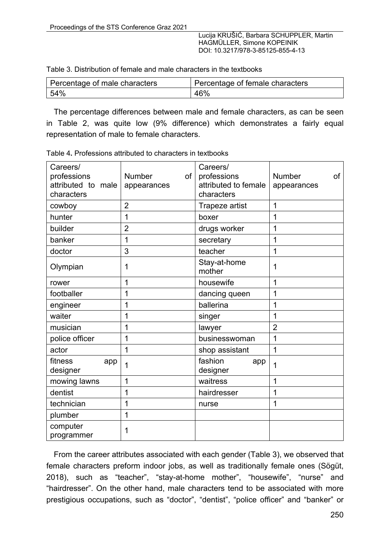| Percentage of male characters | Percentage of female characters |  |  |
|-------------------------------|---------------------------------|--|--|
| 54%                           | 46%                             |  |  |

The percentage differences between male and female characters, as can be seen in Table 2, was quite low (9% difference) which demonstrates a fairly equal representation of male to female characters.

| Careers/<br>professions<br>attributed to male<br>characters | Number<br>of<br>appearances | Careers/<br>professions<br>attributed to female<br>characters | <b>Number</b><br>of<br>appearances |
|-------------------------------------------------------------|-----------------------------|---------------------------------------------------------------|------------------------------------|
| cowboy                                                      | $\overline{2}$              | Trapeze artist                                                | 1                                  |
| hunter                                                      | 1                           | boxer                                                         | 1                                  |
| builder                                                     | $\overline{2}$              | drugs worker                                                  | 1                                  |
| banker                                                      | 1                           | secretary                                                     | 1                                  |
| doctor                                                      | 3                           | teacher                                                       | 1                                  |
| Olympian                                                    | 1                           | Stay-at-home<br>mother                                        | 1                                  |
| rower                                                       | 1                           | housewife                                                     | 1                                  |
| footballer                                                  | 1                           | dancing queen                                                 | 1                                  |
| engineer                                                    | 1                           | ballerina                                                     | 1                                  |
| waiter                                                      | 1                           | singer                                                        | 1                                  |
| musician                                                    | 1                           | lawyer                                                        | $\overline{2}$                     |
| police officer                                              | 1                           | businesswoman                                                 | 1                                  |
| actor                                                       | 1                           | shop assistant                                                | 1                                  |
| fitness<br>app<br>designer                                  | 1                           | fashion<br>app<br>designer                                    | 1                                  |
| mowing lawns                                                | 1                           | waitress                                                      | 1                                  |
| dentist                                                     | 1                           | hairdresser                                                   | 1                                  |
| technician                                                  | 1                           | nurse                                                         | 1                                  |
| plumber                                                     | 1                           |                                                               |                                    |
| computer<br>programmer                                      | 1                           |                                                               |                                    |

Table 4**.** Professions attributed to characters in textbooks

From the career attributes associated with each gender (Table 3), we observed that female characters preform indoor jobs, as well as traditionally female ones (Sögüt, 2018), such as "teacher", "stay-at-home mother", "housewife", "nurse" and "hairdresser". On the other hand, male characters tend to be associated with more prestigious occupations, such as "doctor", "dentist", "police officer" and "banker" or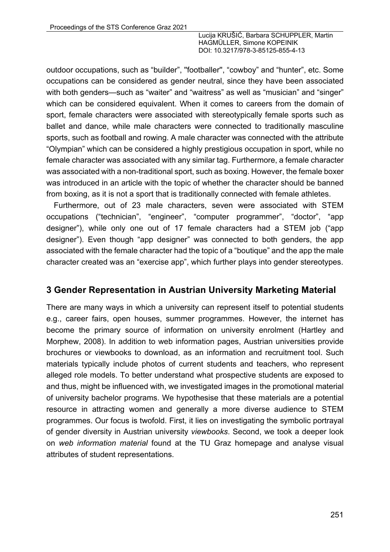outdoor occupations, such as "builder", ''footballer'', "cowboy" and "hunter", etc. Some occupations can be considered as gender neutral, since they have been associated with both genders—such as "waiter" and "waitress" as well as "musician" and "singer" which can be considered equivalent. When it comes to careers from the domain of sport, female characters were associated with stereotypically female sports such as ballet and dance, while male characters were connected to traditionally masculine sports, such as football and rowing. A male character was connected with the attribute "Olympian" which can be considered a highly prestigious occupation in sport, while no female character was associated with any similar tag. Furthermore, a female character was associated with a non-traditional sport, such as boxing. However, the female boxer was introduced in an article with the topic of whether the character should be banned from boxing, as it is not a sport that is traditionally connected with female athletes.

Furthermore, out of 23 male characters, seven were associated with STEM occupations ("technician", "engineer", "computer programmer", "doctor", "app designer"), while only one out of 17 female characters had a STEM job ("app designer"). Even though "app designer" was connected to both genders, the app associated with the female character had the topic of a "boutique" and the app the male character created was an "exercise app", which further plays into gender stereotypes.

# **3 Gender Representation in Austrian University Marketing Material**

There are many ways in which a university can represent itself to potential students e.g., career fairs, open houses, summer programmes. However, the internet has become the primary source of information on university enrolment (Hartley and Morphew, 2008). In addition to web information pages, Austrian universities provide brochures or viewbooks to download, as an information and recruitment tool. Such materials typically include photos of current students and teachers, who represent alleged role models. To better understand what prospective students are exposed to and thus, might be influenced with, we investigated images in the promotional material of university bachelor programs. We hypothesise that these materials are a potential resource in attracting women and generally a more diverse audience to STEM programmes. Our focus is twofold. First, it lies on investigating the symbolic portrayal of gender diversity in Austrian university *viewbooks*. Second, we took a deeper look on *web information material* found at the TU Graz homepage and analyse visual attributes of student representations.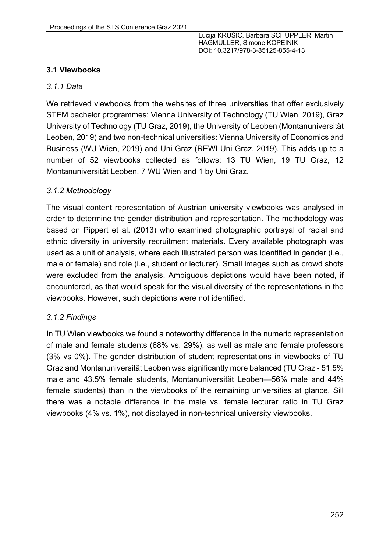### **3.1 Viewbooks**

### *3.1.1 Data*

We retrieved viewbooks from the websites of three universities that offer exclusively STEM bachelor programmes: Vienna University of Technology (TU Wien, 2019), Graz University of Technology (TU Graz, 2019), the University of Leoben (Montanuniversität Leoben, 2019) and two non-technical universities: Vienna University of Economics and Business (WU Wien, 2019) and Uni Graz (REWI Uni Graz, 2019). This adds up to a number of 52 viewbooks collected as follows: 13 TU Wien, 19 TU Graz, 12 Montanuniversität Leoben, 7 WU Wien and 1 by Uni Graz.

### *3.1.2 Methodology*

The visual content representation of Austrian university viewbooks was analysed in order to determine the gender distribution and representation. The methodology was based on Pippert et al. (2013) who examined photographic portrayal of racial and ethnic diversity in university recruitment materials. Every available photograph was used as a unit of analysis, where each illustrated person was identified in gender (i.e., male or female) and role (i.e., student or lecturer). Small images such as crowd shots were excluded from the analysis. Ambiguous depictions would have been noted, if encountered, as that would speak for the visual diversity of the representations in the viewbooks. However, such depictions were not identified.

#### *3.1.2 Findings*

In TU Wien viewbooks we found a noteworthy difference in the numeric representation of male and female students (68% vs. 29%), as well as male and female professors (3% vs 0%). The gender distribution of student representations in viewbooks of TU Graz and Montanuniversität Leoben was significantly more balanced (TU Graz - 51.5% male and 43.5% female students, Montanuniversität Leoben—56% male and 44% female students) than in the viewbooks of the remaining universities at glance. Sill there was a notable difference in the male vs. female lecturer ratio in TU Graz viewbooks (4% vs. 1%), not displayed in non-technical university viewbooks.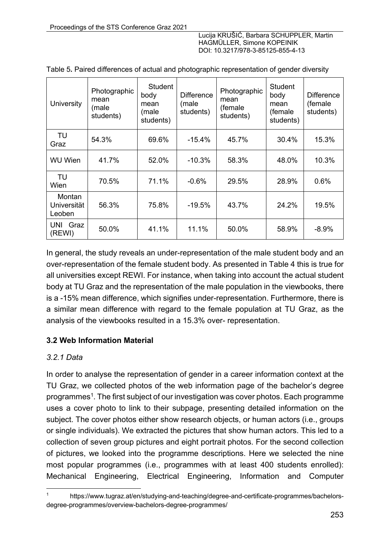| <b>University</b>               | Photographic<br>mean<br>(male<br>students) | Student<br>body<br>mean<br>(male<br>students) | <b>Difference</b><br>(male<br>students) | Photographic<br>mean<br>(female<br>students) | <b>Student</b><br>body<br>mean<br>(female<br>students) | <b>Difference</b><br>(female<br>students) |
|---------------------------------|--------------------------------------------|-----------------------------------------------|-----------------------------------------|----------------------------------------------|--------------------------------------------------------|-------------------------------------------|
| TU<br>Graz                      | 54.3%                                      | 69.6%                                         | $-15.4%$                                | 45.7%                                        | 30.4%                                                  | 15.3%                                     |
| <b>WU Wien</b>                  | 41.7%                                      | 52.0%                                         | $-10.3%$                                | 58.3%                                        | 48.0%                                                  | 10.3%                                     |
| TU<br>Wien                      | 70.5%                                      | 71.1%                                         | $-0.6%$                                 | 29.5%                                        | 28.9%                                                  | 0.6%                                      |
| Montan<br>Universität<br>Leoben | 56.3%                                      | 75.8%                                         | $-19.5%$                                | 43.7%                                        | 24.2%                                                  | 19.5%                                     |
| Graz<br>UNI<br>(REWI)           | 50.0%                                      | 41.1%                                         | 11.1%                                   | 50.0%                                        | 58.9%                                                  | $-8.9%$                                   |

|  |  | Table 5. Paired differences of actual and photographic representation of gender diversity |
|--|--|-------------------------------------------------------------------------------------------|
|  |  |                                                                                           |

In general, the study reveals an under-representation of the male student body and an over-representation of the female student body. As presented in Table 4 this is true for all universities except REWI. For instance, when taking into account the actual student body at TU Graz and the representation of the male population in the viewbooks, there is a -15% mean difference, which signifies under-representation. Furthermore, there is a similar mean difference with regard to the female population at TU Graz, as the analysis of the viewbooks resulted in a 15.3% over- representation.

### **3.2 Web Information Material**

### *3.2.1 Data*

In order to analyse the representation of gender in a career information context at the TU Graz, we collected photos of the web information page of the bachelor's degree programmes1. The first subject of our investigation was cover photos. Each programme uses a cover photo to link to their subpage, presenting detailed information on the subject. The cover photos either show research objects, or human actors (i.e., groups or single individuals). We extracted the pictures that show human actors. This led to a collection of seven group pictures and eight portrait photos. For the second collection of pictures, we looked into the programme descriptions. Here we selected the nine most popular programmes (i.e., programmes with at least 400 students enrolled): Mechanical Engineering, Electrical Engineering, Information and Computer

https://www.tugraz.at/en/studying-and-teaching/degree-and-certificate-programmes/bachelorsdegree-programmes/overview-bachelors-degree-programmes/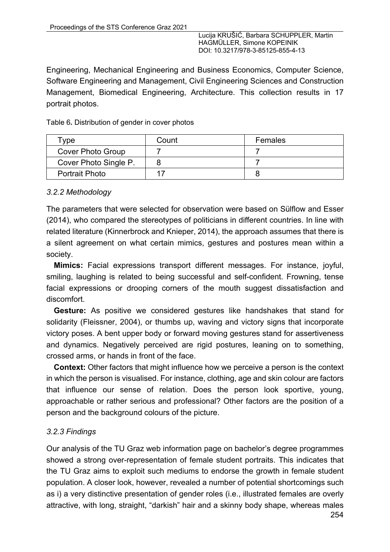Engineering, Mechanical Engineering and Business Economics, Computer Science, Software Engineering and Management, Civil Engineering Sciences and Construction Management, Biomedical Engineering, Architecture. This collection results in 17 portrait photos.

Table 6**.** Distribution of gender in cover photos

| туре                  | Count | Females |
|-----------------------|-------|---------|
| Cover Photo Group     |       |         |
| Cover Photo Single P. |       |         |
| <b>Portrait Photo</b> |       |         |

#### *3.2.2 Methodology*

The parameters that were selected for observation were based on Sülflow and Esser (2014), who compared the stereotypes of politicians in different countries. In line with related literature (Kinnerbrock and Knieper, 2014), the approach assumes that there is a silent agreement on what certain mimics, gestures and postures mean within a society.

**Mimics:** Facial expressions transport different messages. For instance, joyful, smiling, laughing is related to being successful and self-confident. Frowning, tense facial expressions or drooping corners of the mouth suggest dissatisfaction and discomfort.

**Gesture:** As positive we considered gestures like handshakes that stand for solidarity (Fleissner, 2004), or thumbs up, waving and victory signs that incorporate victory poses. A bent upper body or forward moving gestures stand for assertiveness and dynamics. Negatively perceived are rigid postures, leaning on to something, crossed arms, or hands in front of the face.

**Context:** Other factors that might influence how we perceive a person is the context in which the person is visualised. For instance, clothing, age and skin colour are factors that influence our sense of relation. Does the person look sportive, young, approachable or rather serious and professional? Other factors are the position of a person and the background colours of the picture.

#### *3.2.3 Findings*

Our analysis of the TU Graz web information page on bachelor's degree programmes showed a strong over-representation of female student portraits. This indicates that the TU Graz aims to exploit such mediums to endorse the growth in female student population. A closer look, however, revealed a number of potential shortcomings such as i) a very distinctive presentation of gender roles (i.e., illustrated females are overly attractive, with long, straight, "darkish" hair and a skinny body shape, whereas males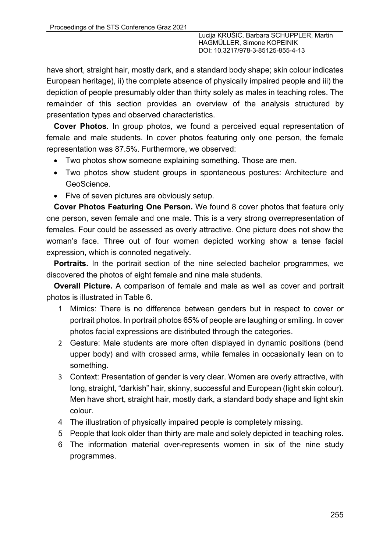have short, straight hair, mostly dark, and a standard body shape; skin colour indicates European heritage), ii) the complete absence of physically impaired people and iii) the depiction of people presumably older than thirty solely as males in teaching roles. The remainder of this section provides an overview of the analysis structured by presentation types and observed characteristics.

**Cover Photos.** In group photos, we found a perceived equal representation of female and male students. In cover photos featuring only one person, the female representation was 87.5%. Furthermore, we observed:

- Two photos show someone explaining something. Those are men.
- Two photos show student groups in spontaneous postures: Architecture and GeoScience.
- Five of seven pictures are obviously setup.

**Cover Photos Featuring One Person.** We found 8 cover photos that feature only one person, seven female and one male. This is a very strong overrepresentation of females. Four could be assessed as overly attractive. One picture does not show the woman's face. Three out of four women depicted working show a tense facial expression, which is connoted negatively.

**Portraits.** In the portrait section of the nine selected bachelor programmes, we discovered the photos of eight female and nine male students.

**Overall Picture.** A comparison of female and male as well as cover and portrait photos is illustrated in Table 6.

- 1 Mimics: There is no difference between genders but in respect to cover or portrait photos. In portrait photos 65% of people are laughing or smiling. In cover photos facial expressions are distributed through the categories.
- 2 Gesture: Male students are more often displayed in dynamic positions (bend upper body) and with crossed arms, while females in occasionally lean on to something.
- 3 Context: Presentation of gender is very clear. Women are overly attractive, with long, straight, "darkish" hair, skinny, successful and European (light skin colour). Men have short, straight hair, mostly dark, a standard body shape and light skin colour.
- 4 The illustration of physically impaired people is completely missing.
- 5 People that look older than thirty are male and solely depicted in teaching roles.
- 6 The information material over-represents women in six of the nine study programmes.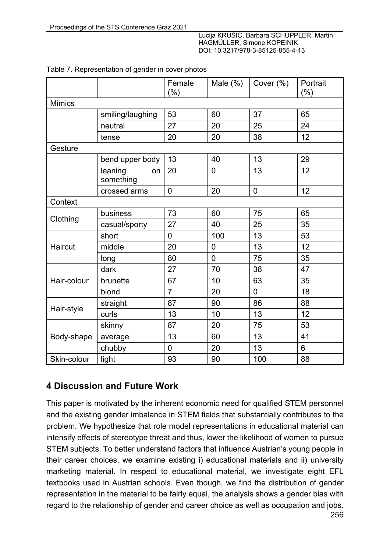|               |                            | Female<br>$(\% )$ | Male $(\%)$    | Cover $(\%)$   | Portrait<br>$(\% )$ |  |  |
|---------------|----------------------------|-------------------|----------------|----------------|---------------------|--|--|
| <b>Mimics</b> |                            |                   |                |                |                     |  |  |
|               | smiling/laughing           | 53                | 60             | 37             | 65                  |  |  |
|               | neutral                    | 27                | 20             | 25             | 24                  |  |  |
|               | tense                      | 20                | 20             | 38             | 12                  |  |  |
| Gesture       |                            |                   |                |                |                     |  |  |
|               | bend upper body            | 13                | 40             | 13             | 29                  |  |  |
|               | leaning<br>on<br>something | 20                | 0              | 13             | 12                  |  |  |
|               | crossed arms               | $\mathbf 0$       | 20             | $\mathbf 0$    | 12                  |  |  |
| Context       |                            |                   |                |                |                     |  |  |
| Clothing      | business                   | 73                | 60             | 75             | 65                  |  |  |
|               | casual/sporty              | 27                | 40             | 25             | 35                  |  |  |
|               | short                      | $\mathbf 0$       | 100            | 13             | 53                  |  |  |
| Haircut       | middle                     | 20                | 0              | 13             | 12                  |  |  |
|               | long                       | 80                | $\overline{0}$ | 75             | 35                  |  |  |
|               | dark                       | 27                | 70             | 38             | 47                  |  |  |
| Hair-colour   | brunette                   | 67                | 10             | 63             | 35                  |  |  |
|               | blond                      | $\overline{7}$    | 20             | $\overline{0}$ | 18                  |  |  |
| Hair-style    | straight                   | 87                | 90             | 86             | 88                  |  |  |
|               | curls                      | 13                | 10             | 13             | 12                  |  |  |
| Body-shape    | skinny                     | 87                | 20             | 75             | 53                  |  |  |
|               | average                    | 13                | 60             | 13             | 41                  |  |  |
|               | chubby                     | $\mathbf 0$       | 20             | 13             | 6                   |  |  |
| Skin-colour   | light                      | 93                | 90             | 100            | 88                  |  |  |

#### Table 7**.** Representation of gender in cover photos

# **4 Discussion and Future Work**

This paper is motivated by the inherent economic need for qualified STEM personnel and the existing gender imbalance in STEM fields that substantially contributes to the problem. We hypothesize that role model representations in educational material can intensify effects of stereotype threat and thus, lower the likelihood of women to pursue STEM subjects. To better understand factors that influence Austrian's young people in their career choices, we examine existing i) educational materials and ii) university marketing material. In respect to educational material, we investigate eight EFL textbooks used in Austrian schools. Even though, we find the distribution of gender representation in the material to be fairly equal, the analysis shows a gender bias with regard to the relationship of gender and career choice as well as occupation and jobs.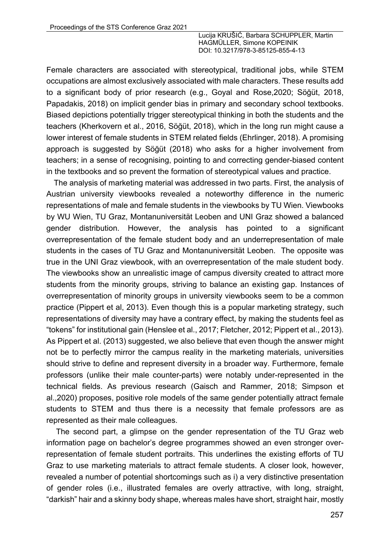Female characters are associated with stereotypical, traditional jobs, while STEM occupations are almost exclusively associated with male characters. These results add to a significant body of prior research (e.g., Goyal and Rose,2020; Söğüt, 2018, Papadakis, 2018) on implicit gender bias in primary and secondary school textbooks. Biased depictions potentially trigger stereotypical thinking in both the students and the teachers (Kherkovern et al., 2016, Söğüt, 2018), which in the long run might cause a lower interest of female students in STEM related fields (Ehrlinger, 2018). A promising approach is suggested by Söğüt (2018) who asks for a higher involvement from teachers; in a sense of recognising, pointing to and correcting gender-biased content in the textbooks and so prevent the formation of stereotypical values and practice.

The analysis of marketing material was addressed in two parts. First, the analysis of Austrian university viewbooks revealed a noteworthy difference in the numeric representations of male and female students in the viewbooks by TU Wien. Viewbooks by WU Wien, TU Graz, Montanuniversität Leoben and UNI Graz showed a balanced gender distribution. However, the analysis has pointed to a significant overrepresentation of the female student body and an underrepresentation of male students in the cases of TU Graz and Montanuniversität Leoben. The opposite was true in the UNI Graz viewbook, with an overrepresentation of the male student body. The viewbooks show an unrealistic image of campus diversity created to attract more students from the minority groups, striving to balance an existing gap. Instances of overrepresentation of minority groups in university viewbooks seem to be a common practice (Pippert et al, 2013). Even though this is a popular marketing strategy, such representations of diversity may have a contrary effect, by making the students feel as "tokens" for institutional gain (Henslee et al., 2017; Fletcher, 2012; Pippert et al., 2013). As Pippert et al. (2013) suggested, we also believe that even though the answer might not be to perfectly mirror the campus reality in the marketing materials, universities should strive to define and represent diversity in a broader way. Furthermore, female professors (unlike their male counter-parts) were notably under-represented in the technical fields. As previous research (Gaisch and Rammer, 2018; Simpson et al.,2020) proposes, positive role models of the same gender potentially attract female students to STEM and thus there is a necessity that female professors are as represented as their male colleagues.

The second part, a glimpse on the gender representation of the TU Graz web information page on bachelor's degree programmes showed an even stronger overrepresentation of female student portraits. This underlines the existing efforts of TU Graz to use marketing materials to attract female students. A closer look, however, revealed a number of potential shortcomings such as i) a very distinctive presentation of gender roles (i.e., illustrated females are overly attractive, with long, straight, "darkish" hair and a skinny body shape, whereas males have short, straight hair, mostly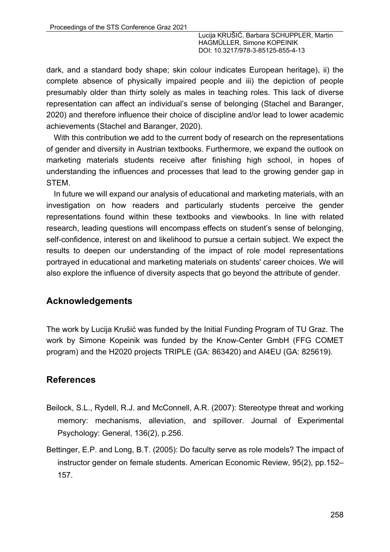dark, and a standard body shape; skin colour indicates European heritage), ii) the complete absence of physically impaired people and iii) the depiction of people presumably older than thirty solely as males in teaching roles. This lack of diverse representation can affect an individual's sense of belonging (Stachel and Baranger, 2020) and therefore influence their choice of discipline and/or lead to lower academic achievements (Stachel and Baranger, 2020).

With this contribution we add to the current body of research on the representations of gender and diversity in Austrian textbooks. Furthermore, we expand the outlook on marketing materials students receive after finishing high school, in hopes of understanding the influences and processes that lead to the growing gender gap in STEM.

In future we will expand our analysis of educational and marketing materials, with an investigation on how readers and particularly students perceive the gender representations found within these textbooks and viewbooks. In line with related research, leading questions will encompass effects on student's sense of belonging, self-confidence, interest on and likelihood to pursue a certain subject. We expect the results to deepen our understanding of the impact of role model representations portrayed in educational and marketing materials on students' career choices. We will also explore the influence of diversity aspects that go beyond the attribute of gender.

# **Acknowledgements**

The work by Lucija Krušić was funded by the Initial Funding Program of TU Graz. The work by Simone Kopeinik was funded by the Know-Center GmbH (FFG COMET program) and the H2020 projects TRIPLE (GA: 863420) and AI4EU (GA: 825619).

# **References**

- Beilock, S.L., Rydell, R.J. and McConnell, A.R. (2007): Stereotype threat and working memory: mechanisms, alleviation, and spillover. Journal of Experimental Psychology: General, 136(2), p.256.
- Bettinger, E.P. and Long, B.T. (2005): Do faculty serve as role models? The impact of instructor gender on female students. American Economic Review, 95(2), pp.152– 157.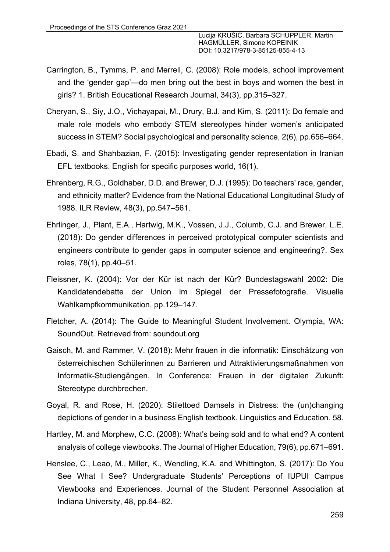- Carrington, B., Tymms, P. and Merrell, C. (2008): Role models, school improvement and the 'gender gap'—do men bring out the best in boys and women the best in girls? 1. British Educational Research Journal, 34(3), pp.315–327.
- Cheryan, S., Siy, J.O., Vichayapai, M., Drury, B.J. and Kim, S. (2011): Do female and male role models who embody STEM stereotypes hinder women's anticipated success in STEM? Social psychological and personality science, 2(6), pp.656–664.
- Ebadi, S. and Shahbazian, F. (2015): Investigating gender representation in Iranian EFL textbooks. English for specific purposes world, 16(1).
- Ehrenberg, R.G., Goldhaber, D.D. and Brewer, D.J. (1995): Do teachers' race, gender, and ethnicity matter? Evidence from the National Educational Longitudinal Study of 1988. ILR Review, 48(3), pp.547–561.
- Ehrlinger, J., Plant, E.A., Hartwig, M.K., Vossen, J.J., Columb, C.J. and Brewer, L.E. (2018): Do gender differences in perceived prototypical computer scientists and engineers contribute to gender gaps in computer science and engineering?. Sex roles, 78(1), pp.40–51.
- Fleissner, K. (2004): Vor der Kür ist nach der Kür? Bundestagswahl 2002: Die Kandidatendebatte der Union im Spiegel der Pressefotografie. Visuelle Wahlkampfkommunikation, pp.129–147.
- Fletcher, A. (2014): The Guide to Meaningful Student Involvement. Olympia, WA: SoundOut. Retrieved from: soundout.org
- Gaisch, M. and Rammer, V. (2018): Mehr frauen in die informatik: Einschätzung von österreichischen Schülerinnen zu Barrieren und Attraktivierungsmaßnahmen von Informatik-Studiengängen. In Conference: Frauen in der digitalen Zukunft: Stereotype durchbrechen.
- Goyal, R. and Rose, H. (2020): Stilettoed Damsels in Distress: the (un)changing depictions of gender in a business English textbook. Linguistics and Education. 58.
- Hartley, M. and Morphew, C.C. (2008): What's being sold and to what end? A content analysis of college viewbooks. The Journal of Higher Education, 79(6), pp.671–691.
- Henslee, C., Leao, M., Miller, K., Wendling, K.A. and Whittington, S. (2017): Do You See What I See? Undergraduate Students' Perceptions of IUPUI Campus Viewbooks and Experiences. Journal of the Student Personnel Association at Indiana University, 48, pp.64–82.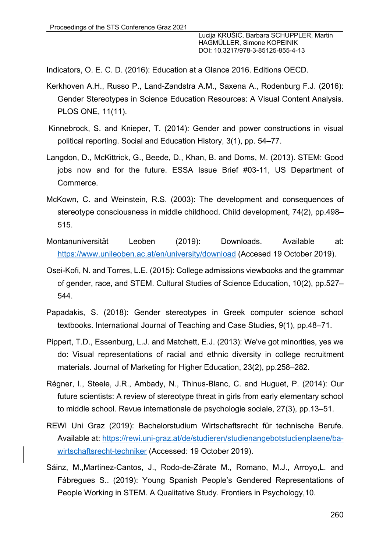Indicators, O. E. C. D. (2016): Education at a Glance 2016. Editions OECD.

- Kerkhoven A.H., Russo P., Land-Zandstra A.M., Saxena A., Rodenburg F.J. (2016): Gender Stereotypes in Science Education Resources: A Visual Content Analysis. PLOS ONE, 11(11).
- Kinnebrock, S. and Knieper, T. (2014): Gender and power constructions in visual political reporting. Social and Education History, 3(1), pp. 54–77.
- Langdon, D., McKittrick, G., Beede, D., Khan, B. and Doms, M. (2013). STEM: Good jobs now and for the future. ESSA Issue Brief #03-11, US Department of Commerce.
- McKown, C. and Weinstein, R.S. (2003): The development and consequences of stereotype consciousness in middle childhood. Child development, 74(2), pp.498– 515.
- Montanuniversität Leoben (2019): Downloads. Available at: https://www.unileoben.ac.at/en/university/download (Accesed 19 October 2019).
- Osei-Kofi, N. and Torres, L.E. (2015): College admissions viewbooks and the grammar of gender, race, and STEM. Cultural Studies of Science Education, 10(2), pp.527– 544.
- Papadakis, S. (2018): Gender stereotypes in Greek computer science school textbooks. International Journal of Teaching and Case Studies, 9(1), pp.48–71.
- Pippert, T.D., Essenburg, L.J. and Matchett, E.J. (2013): We've got minorities, yes we do: Visual representations of racial and ethnic diversity in college recruitment materials. Journal of Marketing for Higher Education, 23(2), pp.258–282.
- Régner, I., Steele, J.R., Ambady, N., Thinus-Blanc, C. and Huguet, P. (2014): Our future scientists: A review of stereotype threat in girls from early elementary school to middle school. Revue internationale de psychologie sociale, 27(3), pp.13–51.
- REWI Uni Graz (2019): Bachelorstudium Wirtschaftsrecht für technische Berufe. Available at: https://rewi.uni-graz.at/de/studieren/studienangebotstudienplaene/bawirtschaftsrecht-techniker (Accessed: 19 October 2019).
- Sáinz, M.,Martinez-Cantos, J., Rodo-de-Zárate M., Romano, M.J., Arroyo,L. and Fàbregues S.. (2019): Young Spanish People's Gendered Representations of People Working in STEM. A Qualitative Study. Frontiers in Psychology,10.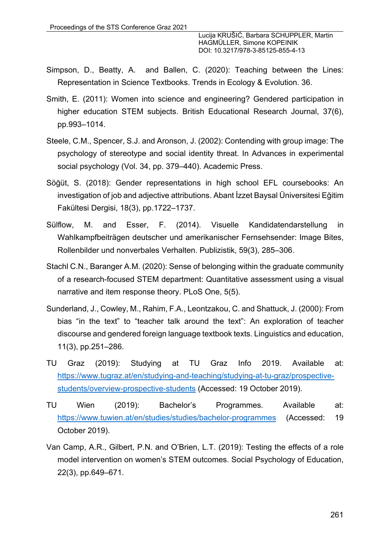- Simpson, D., Beatty, A. and Ballen, C. (2020): Teaching between the Lines: Representation in Science Textbooks. Trends in Ecology & Evolution. 36.
- Smith, E. (2011): Women into science and engineering? Gendered participation in higher education STEM subjects. British Educational Research Journal, 37(6), pp.993–1014.
- Steele, C.M., Spencer, S.J. and Aronson, J. (2002): Contending with group image: The psychology of stereotype and social identity threat. In Advances in experimental social psychology (Vol. 34, pp. 379–440). Academic Press.
- Söğüt, S. (2018): Gender representations in high school EFL coursebooks: An investigation of job and adjective attributions. Abant İzzet Baysal Üniversitesi Eğitim Fakültesi Dergisi, 18(3), pp.1722–1737.
- Sülflow, M. and Esser, F. (2014). Visuelle Kandidatendarstellung in Wahlkampfbeiträgen deutscher und amerikanischer Fernsehsender: Image Bites, Rollenbilder und nonverbales Verhalten. Publizistik, 59(3), 285–306.
- Stachl C.N., Baranger A.M. (2020): Sense of belonging within the graduate community of a research-focused STEM department: Quantitative assessment using a visual narrative and item response theory. PLoS One, 5(5).
- Sunderland, J., Cowley, M., Rahim, F.A., Leontzakou, C. and Shattuck, J. (2000): From bias "in the text" to "teacher talk around the text": An exploration of teacher discourse and gendered foreign language textbook texts. Linguistics and education, 11(3), pp.251–286.
- TU Graz (2019): Studying at TU Graz Info 2019. Available at: https://www.tugraz.at/en/studying-and-teaching/studying-at-tu-graz/prospectivestudents/overview-prospective-students (Accessed: 19 October 2019).
- TU Wien (2019): Bachelor's Programmes. Available at: https://www.tuwien.at/en/studies/studies/bachelor-programmes (Accessed: 19 October 2019).
- Van Camp, A.R., Gilbert, P.N. and O'Brien, L.T. (2019): Testing the effects of a role model intervention on women's STEM outcomes. Social Psychology of Education, 22(3), pp.649–671.